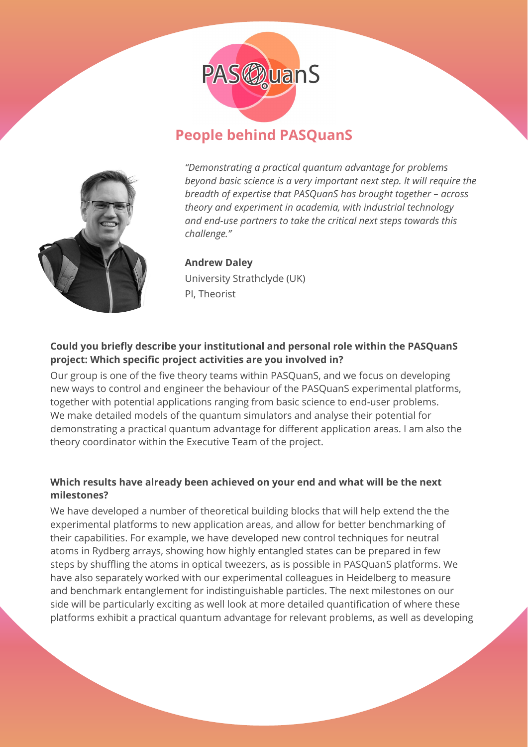

# **People behind PASQuanS**



*"Demonstrating a practical quantum advantage for problems beyond basic science is a very important next step. It will require the breadth of expertise that PASQuanS has brought together – across theory and experiment in academia, with industrial technology and end-use partners to take the critical next steps towards this challenge."*

# **Andrew Daley** University Strathclyde (UK) PI, Theorist

# **Could you briefly describe your institutional and personal role within the PASQuanS project: Which specific project activities are you involved in?**

Our group is one of the five theory teams within PASQuanS, and we focus on developing new ways to control and engineer the behaviour of the PASQuanS experimental platforms, together with potential applications ranging from basic science to end-user problems. We make detailed models of the quantum simulators and analyse their potential for demonstrating a practical quantum advantage for different application areas. I am also the theory coordinator within the Executive Team of the project.

# **Which results have already been achieved on your end and what will be the next milestones?**

We have developed a number of theoretical building blocks that will help extend the the experimental platforms to new application areas, and allow for better benchmarking of their capabilities. For example, we have developed new control techniques for neutral atoms in Rydberg arrays, showing how highly entangled states can be prepared in few steps by shuffling the atoms in optical tweezers, as is possible in PASQuanS platforms. We have also separately worked with our experimental colleagues in Heidelberg to measure and benchmark entanglement for indistinguishable particles. The next milestones on our side will be particularly exciting as well look at more detailed quantification of where these platforms exhibit a practical quantum advantage for relevant problems, as well as developing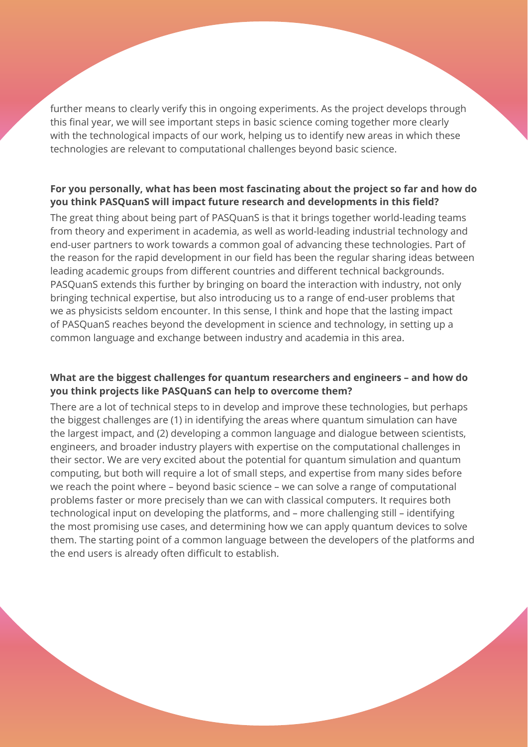further means to clearly verify this in ongoing experiments. As the project develops through this final year, we will see important steps in basic science coming together more clearly with the technological impacts of our work, helping us to identify new areas in which these technologies are relevant to computational challenges beyond basic science.

# **For you personally, what has been most fascinating about the project so far and how do you think PASQuanS will impact future research and developments in this field?**

The great thing about being part of PASQuanS is that it brings together world-leading teams from theory and experiment in academia, as well as world-leading industrial technology and end-user partners to work towards a common goal of advancing these technologies. Part of the reason for the rapid development in our field has been the regular sharing ideas between leading academic groups from different countries and different technical backgrounds. PASQuanS extends this further by bringing on board the interaction with industry, not only bringing technical expertise, but also introducing us to a range of end-user problems that we as physicists seldom encounter. In this sense, I think and hope that the lasting impact of PASQuanS reaches beyond the development in science and technology, in setting up a common language and exchange between industry and academia in this area.

## **What are the biggest challenges for quantum researchers and engineers – and how do you think projects like PASQuanS can help to overcome them?**

There are a lot of technical steps to in develop and improve these technologies, but perhaps the biggest challenges are (1) in identifying the areas where quantum simulation can have the largest impact, and (2) developing a common language and dialogue between scientists, engineers, and broader industry players with expertise on the computational challenges in their sector. We are very excited about the potential for quantum simulation and quantum computing, but both will require a lot of small steps, and expertise from many sides before we reach the point where – beyond basic science – we can solve a range of computational problems faster or more precisely than we can with classical computers. It requires both technological input on developing the platforms, and – more challenging still – identifying the most promising use cases, and determining how we can apply quantum devices to solve them. The starting point of a common language between the developers of the platforms and the end users is already often difficult to establish.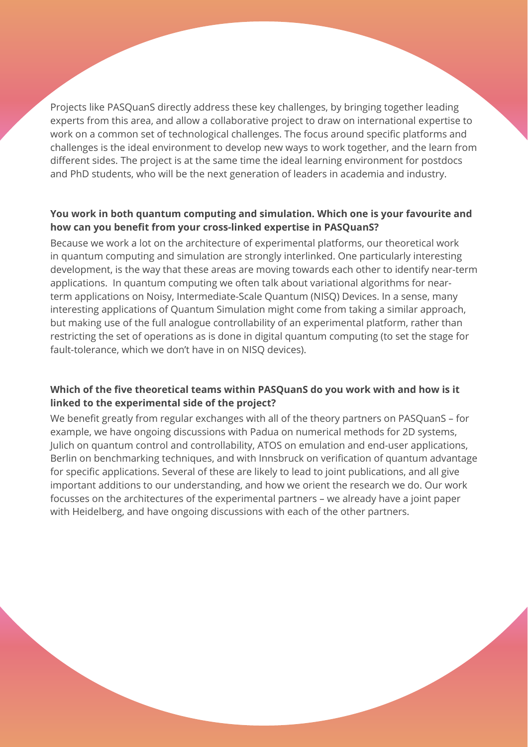Projects like PASQuanS directly address these key challenges, by bringing together leading experts from this area, and allow a collaborative project to draw on international expertise to work on a common set of technological challenges. The focus around specific platforms and challenges is the ideal environment to develop new ways to work together, and the learn from different sides. The project is at the same time the ideal learning environment for postdocs and PhD students, who will be the next generation of leaders in academia and industry.

#### **You work in both quantum computing and simulation. Which one is your favourite and how can you benefit from your cross-linked expertise in PASQuanS?**

Because we work a lot on the architecture of experimental platforms, our theoretical work in quantum computing and simulation are strongly interlinked. One particularly interesting development, is the way that these areas are moving towards each other to identify near-term applications. In quantum computing we often talk about variational algorithms for nearterm applications on Noisy, Intermediate-Scale Quantum (NISQ) Devices. In a sense, many interesting applications of Quantum Simulation might come from taking a similar approach, but making use of the full analogue controllability of an experimental platform, rather than restricting the set of operations as is done in digital quantum computing (to set the stage for fault-tolerance, which we don't have in on NISQ devices).

## **Which of the five theoretical teams within PASQuanS do you work with and how is it linked to the experimental side of the project?**

We benefit greatly from regular exchanges with all of the theory partners on PASQuanS – for example, we have ongoing discussions with Padua on numerical methods for 2D systems, Julich on quantum control and controllability, ATOS on emulation and end-user applications, Berlin on benchmarking techniques, and with Innsbruck on verification of quantum advantage for specific applications. Several of these are likely to lead to joint publications, and all give important additions to our understanding, and how we orient the research we do. Our work focusses on the architectures of the experimental partners – we already have a joint paper with Heidelberg, and have ongoing discussions with each of the other partners.